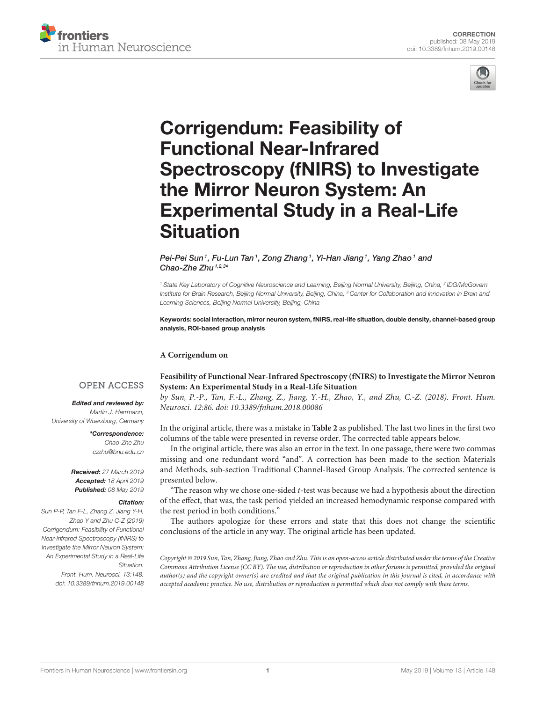



# Corrigendum: Feasibility of Functional Near-Infrared [Spectroscopy \(fNIRS\) to Investigate](https://www.frontiersin.org/articles/10.3389/fnhum.2019.00148/full) the Mirror Neuron System: An Experimental Study in a Real-Life Situation

## [Pei-Pei Sun](http://loop.frontiersin.org/people/257717/overview)1, [Fu-Lun Tan](http://loop.frontiersin.org/people/532299/overview)1, [Zong Zhang](http://loop.frontiersin.org/people/532302/overview)1, [Yi-Han Jiang](http://loop.frontiersin.org/people/515577/overview)1, [Yang Zhao](http://loop.frontiersin.org/people/505293/overview)1 and [Chao-Zhe Zhu](http://loop.frontiersin.org/people/212246/overview) $1,2,3*$

*<sup>1</sup> State Key Laboratory of Cognitive Neuroscience and Learning, Beijing Normal University, Beijing, China, <sup>2</sup> IDG/McGovern Institute for Brain Research, Beijing Normal University, Beijing, China, <sup>3</sup> Center for Collaboration and Innovation in Brain and Learning Sciences, Beijing Normal University, Beijing, China*

Keywords: social interaction, mirror neuron system, fNIRS, real-life situation, double density, channel-based group analysis, ROI-based group analysis

## **A Corrigendum on**

# **OPEN ACCESS**

## Edited and reviewed by:

*Martin J. Herrmann, University of Wuerzburg, Germany*

> \*Correspondence: *Chao-Zhe Zhu [czzhu@bnu.edu.cn](mailto:czzhu@bnu.edu.cn)*

Received: *27 March 2019* Accepted: *18 April 2019* Published: *08 May 2019*

## Citation:

*Sun P-P, Tan F-L, Zhang Z, Jiang Y-H, Zhao Y and Zhu C-Z (2019) Corrigendum: Feasibility of Functional Near-Infrared Spectroscopy (fNIRS) to Investigate the Mirror Neuron System: An Experimental Study in a Real-Life Situation. Front. Hum. Neurosci. 13:148. doi: [10.3389/fnhum.2019.00148](https://doi.org/10.3389/fnhum.2019.00148)*

**[Feasibility of Functional Near-Infrared Spectroscopy \(fNIRS\)](https://doi.org/10.3389/fnhum.2018.00086) to Investigate the Mirror Neuron System: An Experimental Study in a Real-Life Situation**

by Sun, P.-P., Tan, F.-L., Zhang, Z., Jiang, Y.-H., Zhao, Y., and Zhu, C.-Z. (2018). Front. Hum. Neurosci. 12:86. doi: [10.3389/fnhum.2018.00086](https://doi.org/10.3389/fnhum.2018.00086)

In the original article, there was a mistake in **[Table 2](#page-1-0)** as published. The last two lines in the first two columns of the table were presented in reverse order. The corrected table appears below.

In the original article, there was also an error in the text. In one passage, there were two commas missing and one redundant word "and". A correction has been made to the section Materials and Methods, sub-section Traditional Channel-Based Group Analysis. The corrected sentence is presented below.

"The reason why we chose one-sided  $t$ -test was because we had a hypothesis about the direction of the effect, that was, the task period yielded an increased hemodynamic response compared with the rest period in both conditions."

The authors apologize for these errors and state that this does not change the scientific conclusions of the article in any way. The original article has been updated.

Copyright © 2019 Sun, Tan, Zhang, Jiang, Zhao and Zhu. This is an open-access article distributed under the terms of the [Creative](http://creativecommons.org/licenses/by/4.0/) [Commons Attribution License \(CC BY\).](http://creativecommons.org/licenses/by/4.0/) The use, distribution or reproduction in other forums is permitted, provided the original author(s) and the copyright owner(s) are credited and that the original publication in this journal is cited, in accordance with accepted academic practice. No use, distribution or reproduction is permitted which does not comply with these terms.